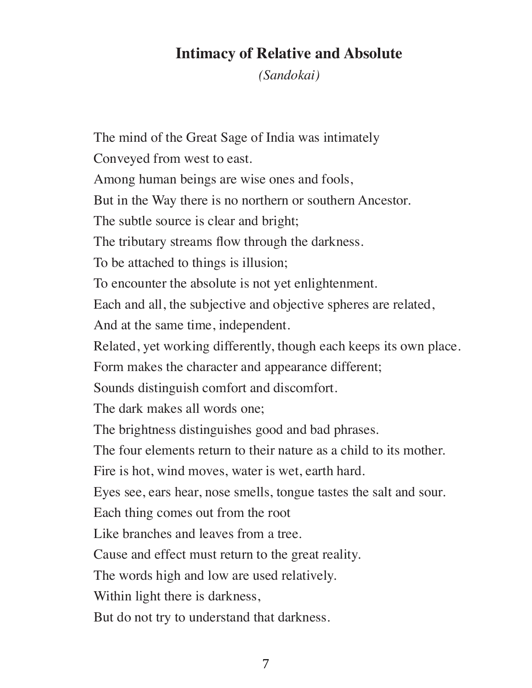## **Intimacy of Relative and Absolute**

*(Sandokai)*

The mind of the Great Sage of India was intimately Conveyed from west to east. Among human beings are wise ones and fools, But in the Way there is no northern or southern Ancestor. The subtle source is clear and bright; The tributary streams flow through the darkness. To be attached to things is illusion; To encounter the absolute is not yet enlightenment. Each and all, the subjective and objective spheres are related, And at the same time, independent. Related, yet working differently, though each keeps its own place. Form makes the character and appearance different; Sounds distinguish comfort and discomfort. The dark makes all words one; The brightness distinguishes good and bad phrases. The four elements return to their nature as a child to its mother. Fire is hot, wind moves, water is wet, earth hard. Eyes see, ears hear, nose smells, tongue tastes the salt and sour. Each thing comes out from the root Like branches and leaves from a tree. Cause and effect must return to the great reality. The words high and low are used relatively. Within light there is darkness, But do not try to understand that darkness.